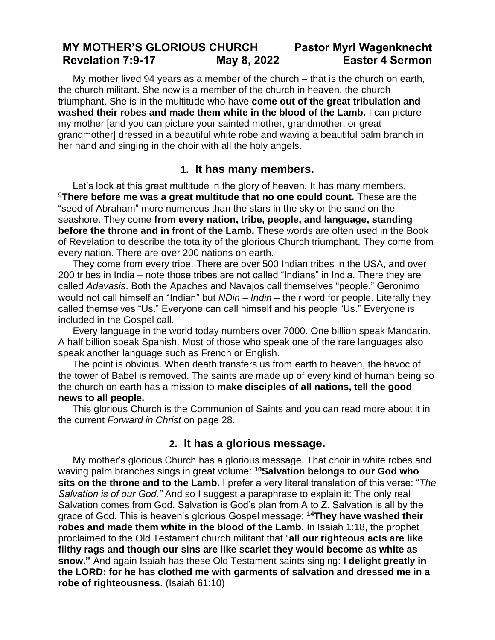## **MY MOTHER'S GLORIOUS CHURCH Pastor Myrl Wagenknecht Revelation 7:9-17 May 8, 2022 Easter 4 Sermon**

My mother lived 94 years as a member of the church – that is the church on earth, the church militant. She now is a member of the church in heaven, the church triumphant. She is in the multitude who have **come out of the great tribulation and washed their robes and made them white in the blood of the Lamb.** I can picture my mother [and you can picture your sainted mother, grandmother, or great grandmother] dressed in a beautiful white robe and waving a beautiful palm branch in her hand and singing in the choir with all the holy angels.

## **1. It has many members.**

Let's look at this great multitude in the glory of heaven. It has many members. <sup>9</sup>**There before me was a great multitude that no one could count.** These are the "seed of Abraham" more numerous than the stars in the sky or the sand on the seashore. They come **from every nation, tribe, people, and language, standing before the throne and in front of the Lamb.** These words are often used in the Book of Revelation to describe the totality of the glorious Church triumphant. They come from every nation. There are over 200 nations on earth.

They come from every tribe. There are over 500 Indian tribes in the USA, and over 200 tribes in India – note those tribes are not called "Indians" in India. There they are called *Adavasis*. Both the Apaches and Navajos call themselves "people." Geronimo would not call himself an "Indian" but *NDin* – *Indin* – their word for people. Literally they called themselves "Us." Everyone can call himself and his people "Us." Everyone is included in the Gospel call.

Every language in the world today numbers over 7000. One billion speak Mandarin. A half billion speak Spanish. Most of those who speak one of the rare languages also speak another language such as French or English.

The point is obvious. When death transfers us from earth to heaven, the havoc of the tower of Babel is removed. The saints are made up of every kind of human being so the church on earth has a mission to **make disciples of all nations, tell the good news to all people.**

This glorious Church is the Communion of Saints and you can read more about it in the current *Forward in Christ* on page 28.

## **2. It has a glorious message.**

My mother's glorious Church has a glorious message. That choir in white robes and waving palm branches sings in great volume: **<sup>10</sup>Salvation belongs to our God who sits on the throne and to the Lamb.** I prefer a very literal translation of this verse: "*The Salvation is of our God."* And so I suggest a paraphrase to explain it: The only real Salvation comes from God. Salvation is God's plan from A to Z. Salvation is all by the grace of God. This is heaven's glorious Gospel message: **<sup>14</sup>They have washed their robes and made them white in the blood of the Lamb.** In Isaiah 1:18, the prophet proclaimed to the Old Testament church militant that "**all our righteous acts are like filthy rags and though our sins are like scarlet they would become as white as snow."** And again Isaiah has these Old Testament saints singing: **I delight greatly in the LORD: for he has clothed me with garments of salvation and dressed me in a robe of righteousness.** (Isaiah 61:10)